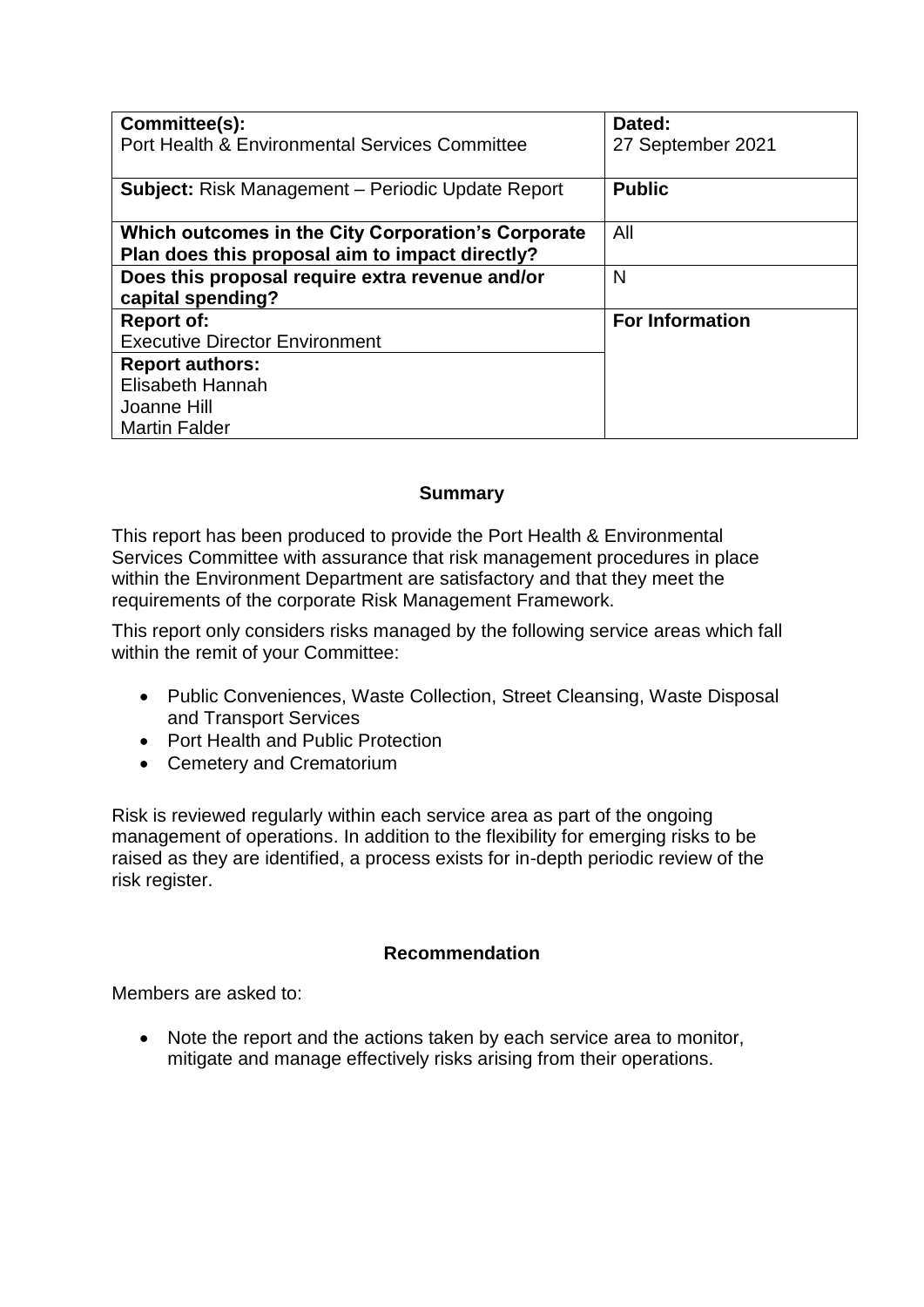| Committee(s):<br>Port Health & Environmental Services Committee | Dated:<br>27 September 2021 |
|-----------------------------------------------------------------|-----------------------------|
|                                                                 |                             |
| <b>Subject:</b> Risk Management – Periodic Update Report        | <b>Public</b>               |
| Which outcomes in the City Corporation's Corporate              | All                         |
| Plan does this proposal aim to impact directly?                 |                             |
| Does this proposal require extra revenue and/or                 | N                           |
| capital spending?                                               |                             |
| <b>Report of:</b>                                               | <b>For Information</b>      |
| <b>Executive Director Environment</b>                           |                             |
| <b>Report authors:</b>                                          |                             |
| Elisabeth Hannah                                                |                             |
| Joanne Hill                                                     |                             |
| <b>Martin Falder</b>                                            |                             |

# **Summary**

This report has been produced to provide the Port Health & Environmental Services Committee with assurance that risk management procedures in place within the Environment Department are satisfactory and that they meet the requirements of the corporate Risk Management Framework.

This report only considers risks managed by the following service areas which fall within the remit of your Committee:

- Public Conveniences, Waste Collection, Street Cleansing, Waste Disposal and Transport Services
- Port Health and Public Protection
- Cemetery and Crematorium

Risk is reviewed regularly within each service area as part of the ongoing management of operations. In addition to the flexibility for emerging risks to be raised as they are identified, a process exists for in-depth periodic review of the risk register.

# **Recommendation**

Members are asked to:

• Note the report and the actions taken by each service area to monitor, mitigate and manage effectively risks arising from their operations.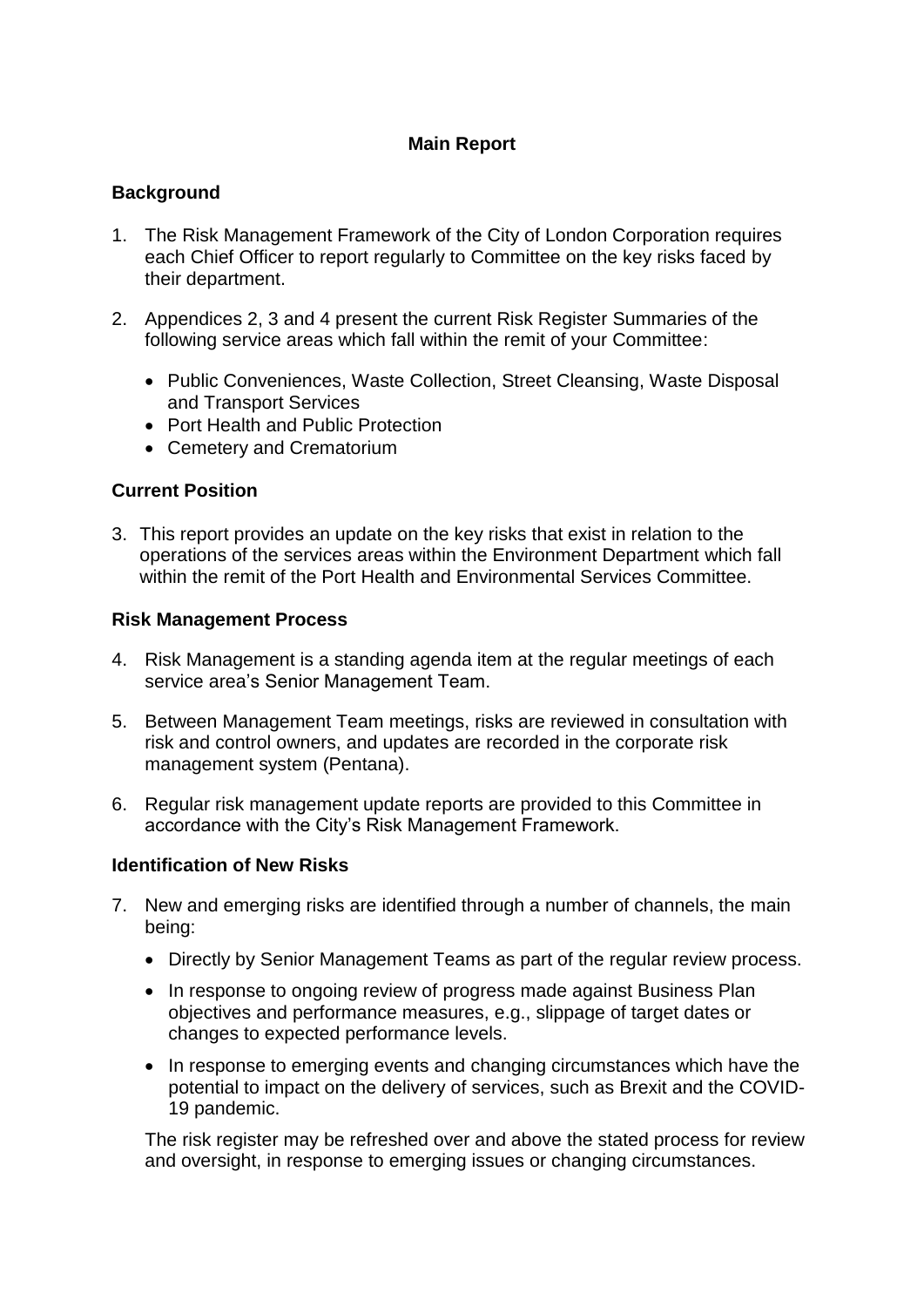# **Main Report**

# **Background**

- 1. The Risk Management Framework of the City of London Corporation requires each Chief Officer to report regularly to Committee on the key risks faced by their department.
- 2. Appendices 2, 3 and 4 present the current Risk Register Summaries of the following service areas which fall within the remit of your Committee:
	- Public Conveniences, Waste Collection, Street Cleansing, Waste Disposal and Transport Services
	- Port Health and Public Protection
	- Cemetery and Crematorium

### **Current Position**

3. This report provides an update on the key risks that exist in relation to the operations of the services areas within the Environment Department which fall within the remit of the Port Health and Environmental Services Committee.

### **Risk Management Process**

- 4. Risk Management is a standing agenda item at the regular meetings of each service area's Senior Management Team.
- 5. Between Management Team meetings, risks are reviewed in consultation with risk and control owners, and updates are recorded in the corporate risk management system (Pentana).
- 6. Regular risk management update reports are provided to this Committee in accordance with the City's Risk Management Framework.

### **Identification of New Risks**

- 7. New and emerging risks are identified through a number of channels, the main being:
	- Directly by Senior Management Teams as part of the regular review process.
	- In response to ongoing review of progress made against Business Plan objectives and performance measures, e.g., slippage of target dates or changes to expected performance levels.
	- In response to emerging events and changing circumstances which have the potential to impact on the delivery of services, such as Brexit and the COVID-19 pandemic.

The risk register may be refreshed over and above the stated process for review and oversight, in response to emerging issues or changing circumstances.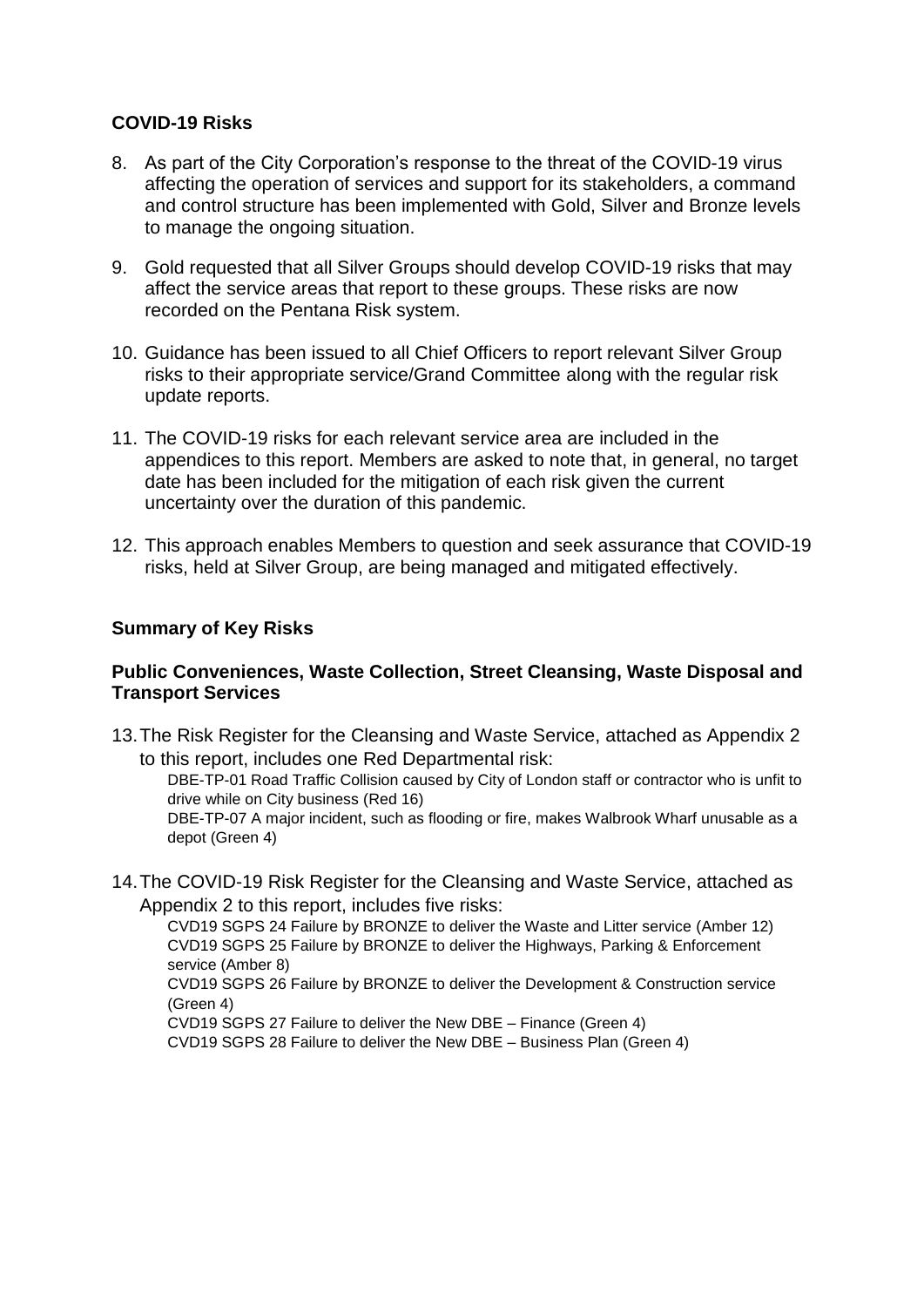## **COVID-19 Risks**

- 8. As part of the City Corporation's response to the threat of the COVID-19 virus affecting the operation of services and support for its stakeholders, a command and control structure has been implemented with Gold, Silver and Bronze levels to manage the ongoing situation.
- 9. Gold requested that all Silver Groups should develop COVID-19 risks that may affect the service areas that report to these groups. These risks are now recorded on the Pentana Risk system.
- 10. Guidance has been issued to all Chief Officers to report relevant Silver Group risks to their appropriate service/Grand Committee along with the regular risk update reports.
- 11. The COVID-19 risks for each relevant service area are included in the appendices to this report. Members are asked to note that, in general, no target date has been included for the mitigation of each risk given the current uncertainty over the duration of this pandemic.
- 12. This approach enables Members to question and seek assurance that COVID-19 risks, held at Silver Group, are being managed and mitigated effectively.

## **Summary of Key Risks**

### **Public Conveniences, Waste Collection, Street Cleansing, Waste Disposal and Transport Services**

13.The Risk Register for the Cleansing and Waste Service, attached as Appendix 2 to this report, includes one Red Departmental risk:

DBE-TP-01 Road Traffic Collision caused by City of London staff or contractor who is unfit to drive while on City business (Red 16)

DBE-TP-07 A major incident, such as flooding or fire, makes Walbrook Wharf unusable as a depot (Green 4)

14.The COVID-19 Risk Register for the Cleansing and Waste Service, attached as Appendix 2 to this report, includes five risks:

CVD19 SGPS 24 Failure by BRONZE to deliver the Waste and Litter service (Amber 12) CVD19 SGPS 25 Failure by BRONZE to deliver the Highways, Parking & Enforcement service (Amber 8)

CVD19 SGPS 26 Failure by BRONZE to deliver the Development & Construction service (Green 4)

CVD19 SGPS 27 Failure to deliver the New DBE – Finance (Green 4)

CVD19 SGPS 28 Failure to deliver the New DBE – Business Plan (Green 4)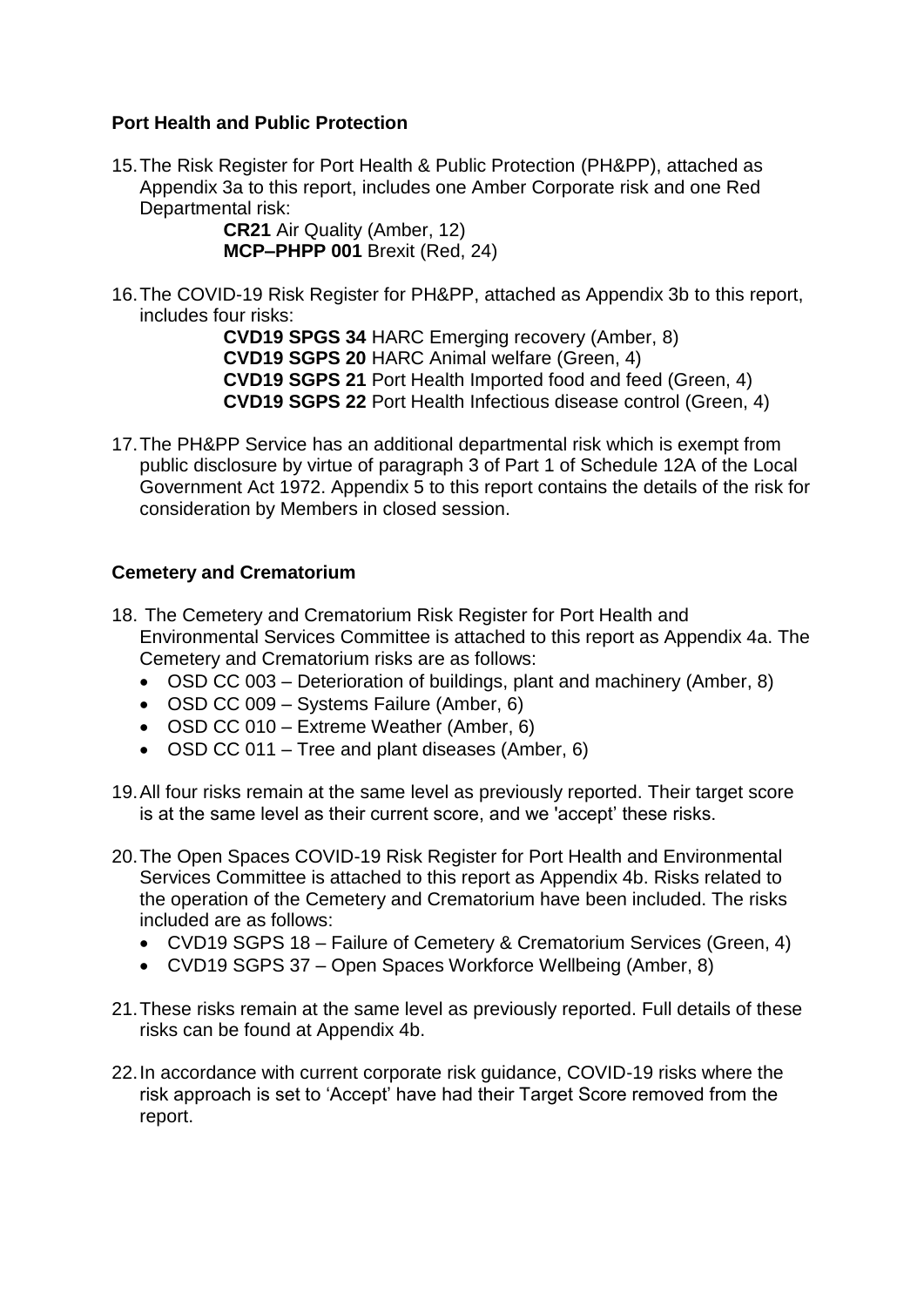## **Port Health and Public Protection**

15.The Risk Register for Port Health & Public Protection (PH&PP), attached as Appendix 3a to this report, includes one Amber Corporate risk and one Red Departmental risk:

> **CR21** Air Quality (Amber, 12) **MCP–PHPP 001** Brexit (Red, 24)

16.The COVID-19 Risk Register for PH&PP, attached as Appendix 3b to this report, includes four risks:

> **CVD19 SPGS 34** HARC Emerging recovery (Amber, 8) **CVD19 SGPS 20** HARC Animal welfare (Green, 4) **CVD19 SGPS 21** Port Health Imported food and feed (Green, 4) **CVD19 SGPS 22** Port Health Infectious disease control (Green, 4)

17.The PH&PP Service has an additional departmental risk which is exempt from public disclosure by virtue of paragraph 3 of Part 1 of Schedule 12A of the Local Government Act 1972. Appendix 5 to this report contains the details of the risk for consideration by Members in closed session.

# **Cemetery and Crematorium**

- 18. The Cemetery and Crematorium Risk Register for Port Health and Environmental Services Committee is attached to this report as Appendix 4a. The Cemetery and Crematorium risks are as follows:
	- OSD CC 003 Deterioration of buildings, plant and machinery (Amber, 8)
	- OSD CC 009 Systems Failure (Amber, 6)
	- OSD CC 010 Extreme Weather (Amber, 6)
	- OSD CC 011 Tree and plant diseases (Amber, 6)
- 19.All four risks remain at the same level as previously reported. Their target score is at the same level as their current score, and we 'accept' these risks.
- 20.The Open Spaces COVID-19 Risk Register for Port Health and Environmental Services Committee is attached to this report as Appendix 4b. Risks related to the operation of the Cemetery and Crematorium have been included. The risks included are as follows:
	- CVD19 SGPS 18 Failure of Cemetery & Crematorium Services (Green, 4)
	- CVD19 SGPS 37 Open Spaces Workforce Wellbeing (Amber, 8)
- 21.These risks remain at the same level as previously reported. Full details of these risks can be found at Appendix 4b.
- 22.In accordance with current corporate risk guidance, COVID-19 risks where the risk approach is set to 'Accept' have had their Target Score removed from the report.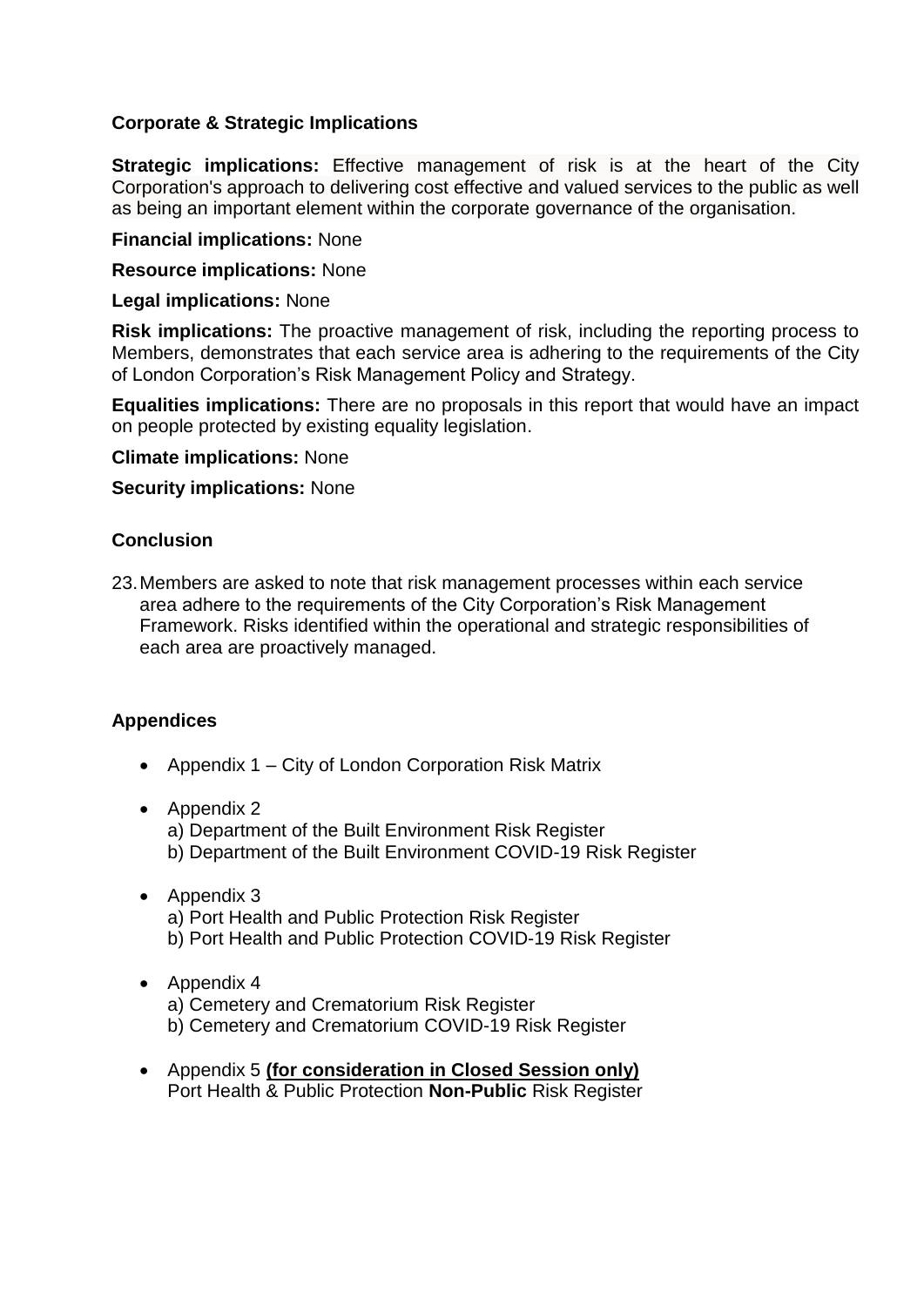## **Corporate & Strategic Implications**

**Strategic implications:** Effective management of risk is at the heart of the City Corporation's approach to delivering cost effective and valued services to the public as well as being an important element within the corporate governance of the organisation.

#### **Financial implications:** None

#### **Resource implications:** None

#### **Legal implications:** None

**Risk implications:** The proactive management of risk, including the reporting process to Members, demonstrates that each service area is adhering to the requirements of the City of London Corporation's Risk Management Policy and Strategy.

**Equalities implications:** There are no proposals in this report that would have an impact on people protected by existing equality legislation.

#### **Climate implications:** None

#### **Security implications:** None

#### **Conclusion**

23.Members are asked to note that risk management processes within each service area adhere to the requirements of the City Corporation's Risk Management Framework. Risks identified within the operational and strategic responsibilities of each area are proactively managed.

### **Appendices**

• Appendix 1 – City of London Corporation Risk Matrix

### • Appendix 2

a) Department of the Built Environment Risk Register b) Department of the Built Environment COVID-19 Risk Register

- Appendix 3 a) Port Health and Public Protection Risk Register b) Port Health and Public Protection COVID-19 Risk Register
- Appendix 4 a) Cemetery and Crematorium Risk Register b) Cemetery and Crematorium COVID-19 Risk Register
- Appendix 5 **(for consideration in Closed Session only)** Port Health & Public Protection **Non-Public** Risk Register